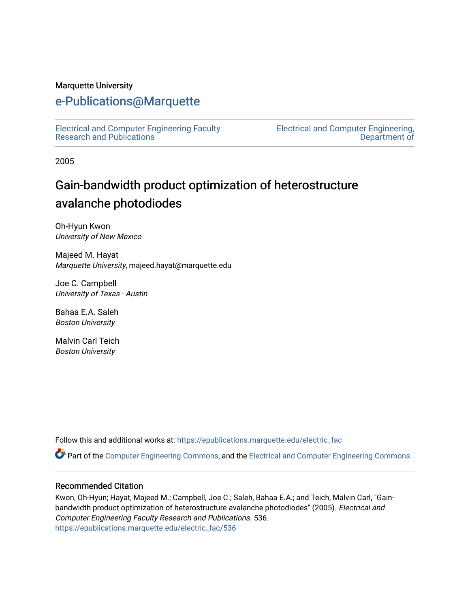#### Marquette University

## [e-Publications@Marquette](https://epublications.marquette.edu/)

[Electrical and Computer Engineering Faculty](https://epublications.marquette.edu/electric_fac) [Research and Publications](https://epublications.marquette.edu/electric_fac) 

[Electrical and Computer Engineering,](https://epublications.marquette.edu/electric)  [Department of](https://epublications.marquette.edu/electric) 

2005

# Gain-bandwidth product optimization of heterostructure avalanche photodiodes

Oh-Hyun Kwon University of New Mexico

Majeed M. Hayat Marquette University, majeed.hayat@marquette.edu

Joe C. Campbell University of Texas - Austin

Bahaa E.A. Saleh Boston University

Malvin Carl Teich Boston University

Follow this and additional works at: [https://epublications.marquette.edu/electric\\_fac](https://epublications.marquette.edu/electric_fac?utm_source=epublications.marquette.edu%2Felectric_fac%2F536&utm_medium=PDF&utm_campaign=PDFCoverPages) 

Part of the [Computer Engineering Commons,](http://network.bepress.com/hgg/discipline/258?utm_source=epublications.marquette.edu%2Felectric_fac%2F536&utm_medium=PDF&utm_campaign=PDFCoverPages) and the [Electrical and Computer Engineering Commons](http://network.bepress.com/hgg/discipline/266?utm_source=epublications.marquette.edu%2Felectric_fac%2F536&utm_medium=PDF&utm_campaign=PDFCoverPages)

#### Recommended Citation

Kwon, Oh-Hyun; Hayat, Majeed M.; Campbell, Joe C.; Saleh, Bahaa E.A.; and Teich, Malvin Carl, "Gainbandwidth product optimization of heterostructure avalanche photodiodes" (2005). Electrical and Computer Engineering Faculty Research and Publications. 536. [https://epublications.marquette.edu/electric\\_fac/536](https://epublications.marquette.edu/electric_fac/536?utm_source=epublications.marquette.edu%2Felectric_fac%2F536&utm_medium=PDF&utm_campaign=PDFCoverPages)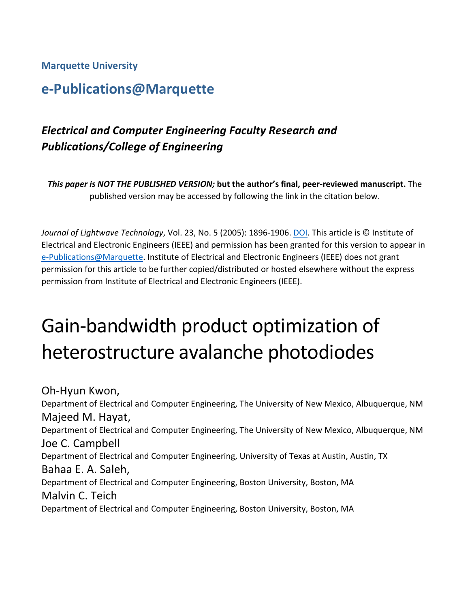#### **Marquette University**

# **e-Publications@Marquette**

## *Electrical and Computer Engineering Faculty Research and Publications/College of Engineering*

*This paper is NOT THE PUBLISHED VERSION;* **but the author's final, peer-reviewed manuscript.** The published version may be accessed by following the link in the citation below.

*Journal of Lightwave Technology*, Vol. 23, No. 5 (2005): 1896-1906. [DOI.](https://dx.doi.org/10.1109/JLT.2005.846911) This article is © Institute of Electrical and Electronic Engineers (IEEE) and permission has been granted for this version to appear in [e-Publications@Marquette.](http://epublications.marquette.edu/) Institute of Electrical and Electronic Engineers (IEEE) does not grant permission for this article to be further copied/distributed or hosted elsewhere without the express permission from Institute of Electrical and Electronic Engineers (IEEE).

# Gain-bandwidth product optimization of heterostructure avalanche photodiodes

Oh-Hyun Kwon, Department of Electrical and Computer Engineering, The University of New Mexico, Albuquerque, NM Majeed M. Hayat, Department of Electrical and Computer Engineering, The University of New Mexico, Albuquerque, NM Joe C. Campbell Department of Electrical and Computer Engineering, University of Texas at Austin, Austin, TX Bahaa E. A. Saleh, Department of Electrical and Computer Engineering, Boston University, Boston, MA Malvin C. Teich Department of Electrical and Computer Engineering, Boston University, Boston, MA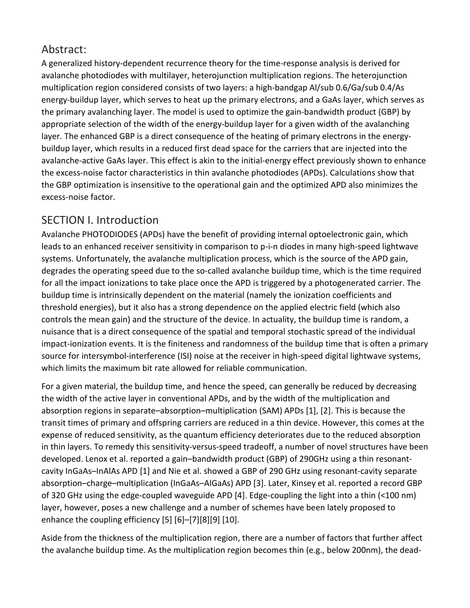## Abstract:

A generalized history-dependent recurrence theory for the time-response analysis is derived for avalanche photodiodes with multilayer, heterojunction multiplication regions. The heterojunction multiplication region considered consists of two layers: a high-bandgap Al/sub 0.6/Ga/sub 0.4/As energy-buildup layer, which serves to heat up the primary electrons, and a GaAs layer, which serves as the primary avalanching layer. The model is used to optimize the gain-bandwidth product (GBP) by appropriate selection of the width of the energy-buildup layer for a given width of the avalanching layer. The enhanced GBP is a direct consequence of the heating of primary electrons in the energybuildup layer, which results in a reduced first dead space for the carriers that are injected into the avalanche-active GaAs layer. This effect is akin to the initial-energy effect previously shown to enhance the excess-noise factor characteristics in thin avalanche photodiodes (APDs). Calculations show that the GBP optimization is insensitive to the operational gain and the optimized APD also minimizes the excess-noise factor.

## SECTION I. Introduction

Avalanche PHOTODIODES (APDs) have the benefit of providing internal optoelectronic gain, which leads to an enhanced receiver sensitivity in comparison to p-i-n diodes in many high-speed lightwave systems. Unfortunately, the avalanche multiplication process, which is the source of the APD gain, degrades the operating speed due to the so-called avalanche buildup time, which is the time required for all the impact ionizations to take place once the APD is triggered by a photogenerated carrier. The buildup time is intrinsically dependent on the material (namely the ionization coefficients and threshold energies), but it also has a strong dependence on the applied electric field (which also controls the mean gain) and the structure of the device. In actuality, the buildup time is random, a nuisance that is a direct consequence of the spatial and temporal stochastic spread of the individual impact-ionization events. It is the finiteness and randomness of the buildup time that is often a primary source for intersymbol-interference (ISI) noise at the receiver in high-speed digital lightwave systems, which limits the maximum bit rate allowed for reliable communication.

For a given material, the buildup time, and hence the speed, can generally be reduced by decreasing the width of the active layer in conventional APDs, and by the width of the multiplication and absorption regions in separate–absorption–multiplication (SAM) APDs [1], [2]. This is because the transit times of primary and offspring carriers are reduced in a thin device. However, this comes at the expense of reduced sensitivity, as the quantum efficiency deteriorates due to the reduced absorption in thin layers. To remedy this sensitivity-versus-speed tradeoff, a number of novel structures have been developed. Lenox et al. reported a gain–bandwidth product (GBP) of 290GHz using a thin resonantcavity InGaAs–InAlAs APD [1] and Nie et al. showed a GBP of 290 GHz using resonant-cavity separate absorption–charge–multiplication (InGaAs–AlGaAs) APD [3]. Later, Kinsey et al. reported a record GBP of 320 GHz using the edge-coupled waveguide APD [4]. Edge-coupling the light into a thin (<100 nm) layer, however, poses a new challenge and a number of schemes have been lately proposed to enhance the coupling efficiency [5] [6]–[7][8][9] [10].

Aside from the thickness of the multiplication region, there are a number of factors that further affect the avalanche buildup time. As the multiplication region becomes thin (e.g., below 200nm), the dead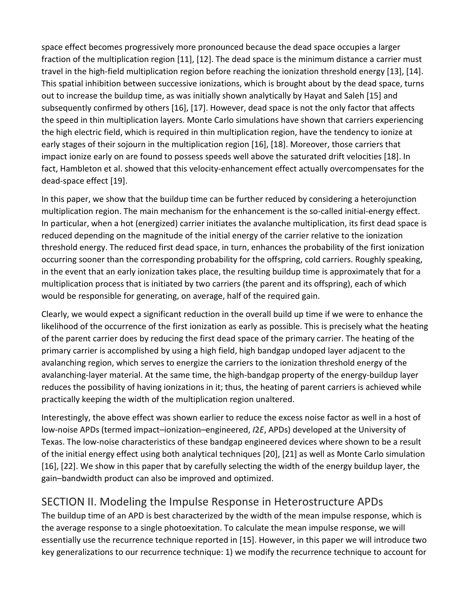space effect becomes progressively more pronounced because the dead space occupies a larger fraction of the multiplication region [11], [12]. The dead space is the minimum distance a carrier must travel in the high-field multiplication region before reaching the ionization threshold energy [13], [14]. This spatial inhibition between successive ionizations, which is brought about by the dead space, turns out to increase the buildup time, as was initially shown analytically by Hayat and Saleh [15] and subsequently confirmed by others [16], [17]. However, dead space is not the only factor that affects the speed in thin multiplication layers. Monte Carlo simulations have shown that carriers experiencing the high electric field, which is required in thin multiplication region, have the tendency to ionize at early stages of their sojourn in the multiplication region [16], [18]. Moreover, those carriers that impact ionize early on are found to possess speeds well above the saturated drift velocities [18]. In fact, Hambleton et al. showed that this velocity-enhancement effect actually overcompensates for the dead-space effect [19].

In this paper, we show that the buildup time can be further reduced by considering a heterojunction multiplication region. The main mechanism for the enhancement is the so-called initial-energy effect. In particular, when a hot (energized) carrier initiates the avalanche multiplication, its first dead space is reduced depending on the magnitude of the initial energy of the carrier relative to the ionization threshold energy. The reduced first dead space, in turn, enhances the probability of the first ionization occurring sooner than the corresponding probability for the offspring, cold carriers. Roughly speaking, in the event that an early ionization takes place, the resulting buildup time is approximately that for a multiplication process that is initiated by two carriers (the parent and its offspring), each of which would be responsible for generating, on average, half of the required gain.

Clearly, we would expect a significant reduction in the overall build up time if we were to enhance the likelihood of the occurrence of the first ionization as early as possible. This is precisely what the heating of the parent carrier does by reducing the first dead space of the primary carrier. The heating of the primary carrier is accomplished by using a high field, high bandgap undoped layer adjacent to the avalanching region, which serves to energize the carriers to the ionization threshold energy of the avalanching-layer material. At the same time, the high-bandgap property of the energy-buildup layer reduces the possibility of having ionizations in it; thus, the heating of parent carriers is achieved while practically keeping the width of the multiplication region unaltered.

Interestingly, the above effect was shown earlier to reduce the excess noise factor as well in a host of low-noise APDs (termed impact–ionization–engineered, *I*2*E*, APDs) developed at the University of Texas. The low-noise characteristics of these bandgap engineered devices where shown to be a result of the initial energy effect using both analytical techniques [20], [21] as well as Monte Carlo simulation [16], [22]. We show in this paper that by carefully selecting the width of the energy buildup layer, the gain–bandwidth product can also be improved and optimized.

## SECTION II. Modeling the Impulse Response in Heterostructure APDs

The buildup time of an APD is best characterized by the width of the mean impulse response, which is the average response to a single photoexitation. To calculate the mean impulse response, we will essentially use the recurrence technique reported in [15]. However, in this paper we will introduce two key generalizations to our recurrence technique: 1) we modify the recurrence technique to account for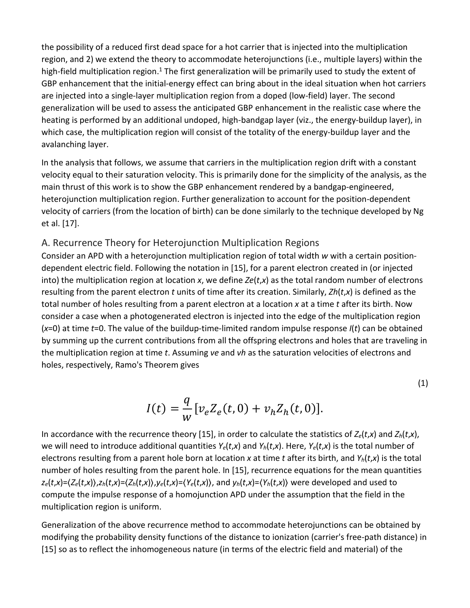the possibility of a reduced first dead space for a hot carrier that is injected into the multiplication region, and 2) we extend the theory to accommodate heterojunctions (i.e., multiple layers) within the high-field multiplication region.<sup>1</sup> The first generalization will be primarily used to study the extent of GBP enhancement that the initial-energy effect can bring about in the ideal situation when hot carriers are injected into a single-layer multiplication region from a doped (low-field) layer. The second generalization will be used to assess the anticipated GBP enhancement in the realistic case where the heating is performed by an additional undoped, high-bandgap layer (viz., the energy-buildup layer), in which case, the multiplication region will consist of the totality of the energy-buildup layer and the avalanching layer.

In the analysis that follows, we assume that carriers in the multiplication region drift with a constant velocity equal to their saturation velocity. This is primarily done for the simplicity of the analysis, as the main thrust of this work is to show the GBP enhancement rendered by a bandgap-engineered, heterojunction multiplication region. Further generalization to account for the position-dependent velocity of carriers (from the location of birth) can be done similarly to the technique developed by Ng et al. [17].

#### A. Recurrence Theory for Heterojunction Multiplication Regions

Consider an APD with a heterojunction multiplication region of total width *w* with a certain positiondependent electric field. Following the notation in [15], for a parent electron created in (or injected into) the multiplication region at location *x*, we define *Ze*(*t*,*x*) as the total random number of electrons resulting from the parent electron *t* units of time after its creation. Similarly, *Zh*(*t*,*x*) is defined as the total number of holes resulting from a parent electron at a location *x* at a time *t* after its birth. Now consider a case when a photogenerated electron is injected into the edge of the multiplication region (*x*=0) at time *t*=0. The value of the buildup-time-limited random impulse response *I*(*t*) can be obtained by summing up the current contributions from all the offspring electrons and holes that are traveling in the multiplication region at time *t*. Assuming *ve* and *vh* as the saturation velocities of electrons and holes, respectively, Ramo's Theorem gives

$$
I(t) = \frac{q}{w} [v_e Z_e(t, 0) + v_h Z_h(t, 0)].
$$

(1)

In accordance with the recurrence theory [15], in order to calculate the statistics of  $Z_e(t,x)$  and  $Z_h(t,x)$ , we will need to introduce additional quantities  $Y_e(t,x)$  and  $Y_h(t,x)$ . Here,  $Y_e(t,x)$  is the total number of electrons resulting from a parent hole born at location *x* at time *t* after its birth, and *Yh*(*t*,*x*) is the total number of holes resulting from the parent hole. In [15], recurrence equations for the mean quantities  $z_e(t,x) = \langle Z_e(t,x) \rangle$ , $z_h(t,x) = \langle Z_h(t,x) \rangle$ , $y_e(t,x) = \langle Y_e(t,x) \rangle$ , and  $y_h(t,x) = \langle Y_h(t,x) \rangle$  were developed and used to compute the impulse response of a homojunction APD under the assumption that the field in the multiplication region is uniform.

Generalization of the above recurrence method to accommodate heterojunctions can be obtained by modifying the probability density functions of the distance to ionization (carrier's free-path distance) in [15] so as to reflect the inhomogeneous nature (in terms of the electric field and material) of the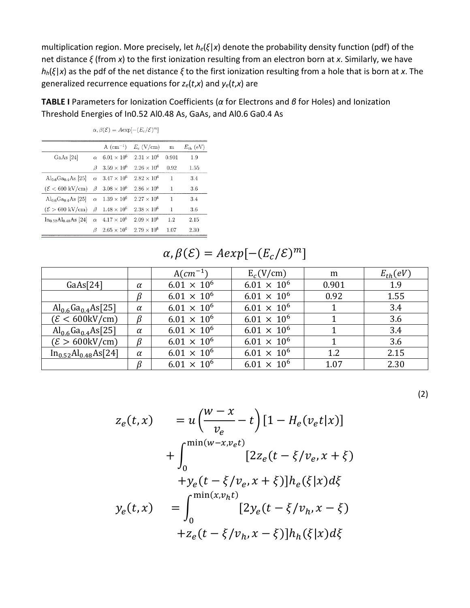multiplication region. More precisely, let *he*(*ξ*|*x*) denote the probability density function (pdf) of the net distance *ξ* (from *x*) to the first ionization resulting from an electron born at *x*. Similarly, we have *hh*(*ξ*|*x*) as the pdf of the net distance *ξ* to the first ionization resulting from a hole that is born at *x*. The generalized recurrence equations for *ze*(*t*,*x*) and *ye*(*t*,*x*) are

**TABLE I** Parameters for Ionization Coefficients (*α* for Electrons and *β* for Holes) and Ionization Threshold Energies of In0.52 Al0.48 As, GaAs, and Al0.6 Ga0.4 As

|                                     |          | $A$ (cm <sup>-1</sup> )                | $E_c$ (V/cm)         | m     | $E_{\text{th}}$ (eV) |
|-------------------------------------|----------|----------------------------------------|----------------------|-------|----------------------|
| GaAs [24]                           | $\alpha$ | $6.01 \times 10^{6}$                   | $2.31 \times 10^{6}$ | 0.901 | 1.9                  |
|                                     | ß        | $3.59 \times 10^{6}$                   | $2.26 \times 10^{6}$ | 0.92  | 1.55                 |
| $Al_{0.6}Ga_{0.4}As$ [25]           |          | $\alpha$ 3.47 $\times$ 10 <sup>6</sup> | $2.82 \times 10^{6}$ | 1     | 3.4                  |
| $(\mathcal{E} < 600 \text{ kV/cm})$ | B        | $3.08 \times 10^{6}$                   | $2.86 \times 10^{6}$ | 1     | 3.6                  |
| $Al_{0.6}Ga_{0.4}As$ [25]           | $\alpha$ | $1.39 \times 10^{6}$                   | $2.27 \times 10^6$   | 1     | 3.4                  |
| $(\mathcal{E} > 600 \text{ kV/cm})$ | ß        | $1.48 \times 10^{6}$                   | $2.38 \times 10^{6}$ | 1     | 3.6                  |
| $In_{0.52}Al_{0.48}As$ [24]         |          | $\alpha$ 4.17 $\times$ 10 <sup>6</sup> | $2.09 \times 10^{6}$ | 1.2   | 2.15                 |
|                                     | ß        | $2.65 \times 10^{6}$                   | $2.79 \times 10^6$   | 1.07  | 2.30                 |

 $\alpha, \beta(\mathcal{E}) = A \exp[-(E_c/\mathcal{E})^m]$ 

# $\alpha, \beta(\mathcal{E}) = A exp[-(E_c/\mathcal{E})^m]$

|                                    |          | $A(cm^{-1})$         | $E_c(V/cm)$          | m     | $E_{th}(eV)$ |
|------------------------------------|----------|----------------------|----------------------|-------|--------------|
| GaAs[24]                           | $\alpha$ | $6.01 \times 10^{6}$ | $6.01 \times 10^{6}$ | 0.901 | 1.9          |
|                                    | β        | $6.01 \times 10^{6}$ | $6.01 \times 10^{6}$ | 0.92  | 1.55         |
| $\rm Al_{0.6}Ga_{0.4}As[25]$       | $\alpha$ | $6.01 \times 10^{6}$ | $6.01 \times 10^{6}$ |       | 3.4          |
| $(\mathcal{E} < 600 \text{kV/cm})$ | $\beta$  | $6.01 \times 10^{6}$ | $6.01 \times 10^{6}$ |       | 3.6          |
| $\rm Al_{0.6}Ga_{0.4}As[25]$       | $\alpha$ | $6.01 \times 10^{6}$ | $6.01 \times 10^{6}$ |       | 3.4          |
| $(\mathcal{E} > 600 \text{kV/cm})$ | $\beta$  | $6.01 \times 10^{6}$ | $6.01 \times 10^{6}$ |       | 3.6          |
| $In_{0.52}Al_{0.48}As[24]$         | $\alpha$ | $6.01 \times 10^{6}$ | $6.01 \times 10^{6}$ | 1.2   | 2.15         |
|                                    |          | $6.01 \times 10^{6}$ | $6.01 \times 10^{6}$ | 1.07  | 2.30         |

(2)

$$
z_e(t, x) = u\left(\frac{w - x}{v_e} - t\right) [1 - H_e(v_e t | x)]
$$
  
+ 
$$
\int_0^{\min(w - x, v_e t)} [2z_e(t - \xi/v_e, x + \xi)
$$
  
+ 
$$
y_e(t - \xi/v_e, x + \xi)]h_e(\xi | x) d\xi
$$
  

$$
y_e(t, x) = \int_0^{\min(x, v_h t)} [2y_e(t - \xi/v_h, x - \xi)]h_e(\xi | x) d\xi
$$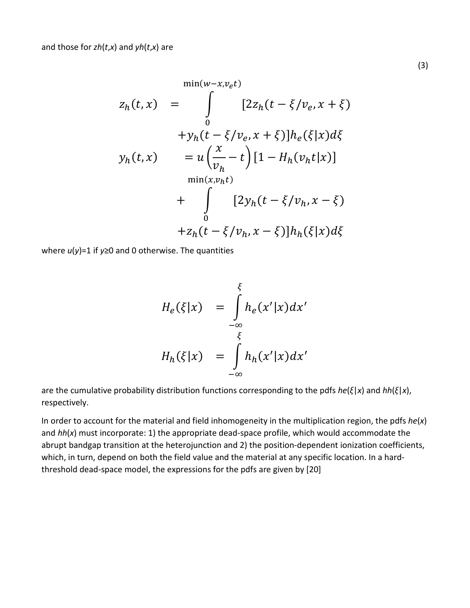$$
min(w-x, v_e t)
$$
  
\n
$$
z_h(t, x) = \int_{0}^{t} [2z_h(t - \xi/v_e, x + \xi)]h_e(\xi|x)d\xi
$$
  
\n
$$
y_h(t, x) = u\left(\frac{x}{v_h} - t\right)[1 - H_h(v_h t|x)]
$$
  
\n
$$
+ \int_{0}^{t} [2y_h(t - \xi/v_h, x - \xi)]h_h(\xi|x)d\xi
$$

where *u*(*y*)=1 if *y*≥0 and 0 otherwise. The quantities

$$
H_e(\xi|x) = \int_{-\infty}^{\xi} h_e(x'|x) dx'
$$
  

$$
H_h(\xi|x) = \int_{-\infty}^{\xi} h_h(x'|x) dx'
$$

are the cumulative probability distribution functions corresponding to the pdfs *he*(*ξ*|*x*) and *hh*(*ξ*|*x*), respectively.

In order to account for the material and field inhomogeneity in the multiplication region, the pdfs *he*(*x*) and *hh*(*x*) must incorporate: 1) the appropriate dead-space profile, which would accommodate the abrupt bandgap transition at the heterojunction and 2) the position-dependent ionization coefficients, which, in turn, depend on both the field value and the material at any specific location. In a hardthreshold dead-space model, the expressions for the pdfs are given by [20]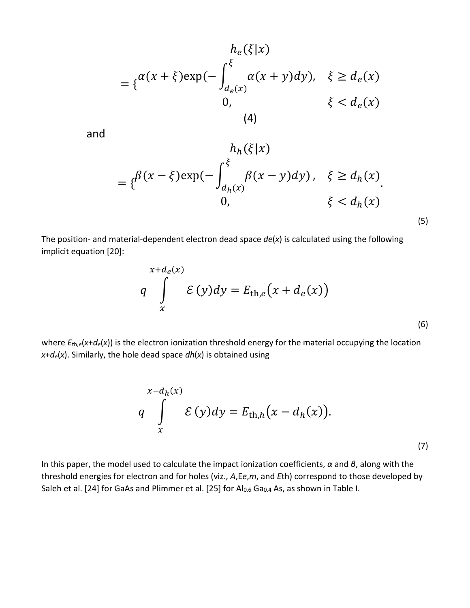$$
h_e(\xi|x)
$$
  
= 
$$
\{\alpha(x+\xi)\exp(-\int_{d_e(x)}^{\xi} \alpha(x+y)dy), \quad \xi \ge d_e(x)
$$
  
0, 
$$
\xi < d_e(x)
$$
  
(4)

and

$$
h_h(\xi|x)
$$
  
=  $\{\beta(x-\xi)\exp(-\int_{d_h(x)}^{\xi}\beta(x-y)dy), \xi \ge d_h(x)\}$   
0,  $\xi < d_h(x)$  (5)

The position- and material-dependent electron dead space *de*(*x*) is calculated using the following implicit equation [20]:

$$
x+d_e(x)
$$
  
q 
$$
\int_{x}^{\infty} \mathcal{E}(y)dy = E_{\text{th},e}(x+d_e(x))
$$
 (6)

where  $E_{th,e}(x+d_e(x))$  is the electron ionization threshold energy for the material occupying the location  $x+d_e(x)$ . Similarly, the hole dead space  $dh(x)$  is obtained using

$$
x-d_h(x)
$$
  
q 
$$
\int_{x}^{\infty} \mathcal{E}(y)dy = E_{\text{th},h}(x-d_h(x)).
$$
 (7)

In this paper, the model used to calculate the impact ionization coefficients, *α* and *β*, along with the threshold energies for electron and for holes (viz., *A*,E*e*,*m*, and *E*th) correspond to those developed by Saleh et al. [24] for GaAs and Plimmer et al. [25] for Al<sub>0.6</sub> Ga<sub>0.4</sub> As, as shown in Table I.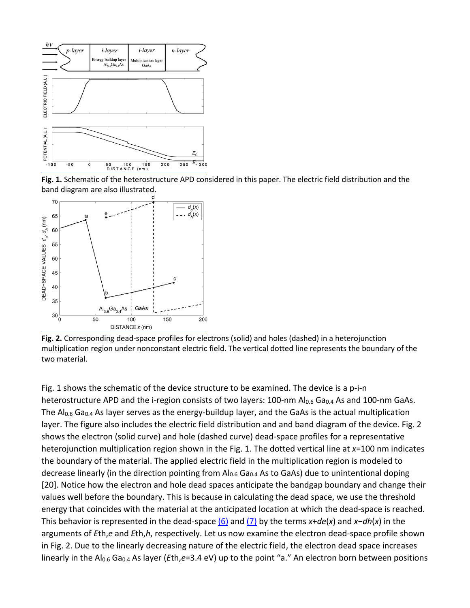

**Fig. 1.** Schematic of the heterostructure APD considered in this paper. The electric field distribution and the band diagram are also illustrated.



**Fig. 2.** Corresponding dead-space profiles for electrons (solid) and holes (dashed) in a heterojunction multiplication region under nonconstant electric field. The vertical dotted line represents the boundary of the two material.

Fig. 1 shows the schematic of the device structure to be examined. The device is a p-i-n heterostructure APD and the i-region consists of two layers: 100-nm  $Al_{0.6}$  Ga<sub>0.4</sub> As and 100-nm GaAs. The  $Al_{0.6}$  Ga<sub>0.4</sub> As layer serves as the energy-buildup layer, and the GaAs is the actual multiplication layer. The figure also includes the electric field distribution and and band diagram of the device. Fig. 2 shows the electron (solid curve) and hole (dashed curve) dead-space profiles for a representative heterojunction multiplication region shown in the Fig. 1. The dotted vertical line at *x*=100 nm indicates the boundary of the material. The applied electric field in the multiplication region is modeled to decrease linearly (in the direction pointing from  $Al_{0.6}$  Ga<sub>0.4</sub> As to GaAs) due to unintentional doping [20]. Notice how the electron and hole dead spaces anticipate the bandgap boundary and change their values well before the boundary. This is because in calculating the dead space, we use the threshold energy that coincides with the material at the anticipated location at which the dead-space is reached. This behavior is represented in the dead-space [\(6\)](https://ieeexplore.ieee.org/document/#deqn6) and [\(7\)](https://ieeexplore.ieee.org/document/#deqn7) by the terms *x*+*de*(*x*) and *x*−*dh*(*x*) in the arguments of *E*th,*e* and *E*th,*h*, respectively. Let us now examine the electron dead-space profile shown in Fig. 2. Due to the linearly decreasing nature of the electric field, the electron dead space increases linearly in the Al<sub>0.6</sub> Ga<sub>0.4</sub> As layer (*E*th,*e*=3.4 eV) up to the point "a." An electron born between positions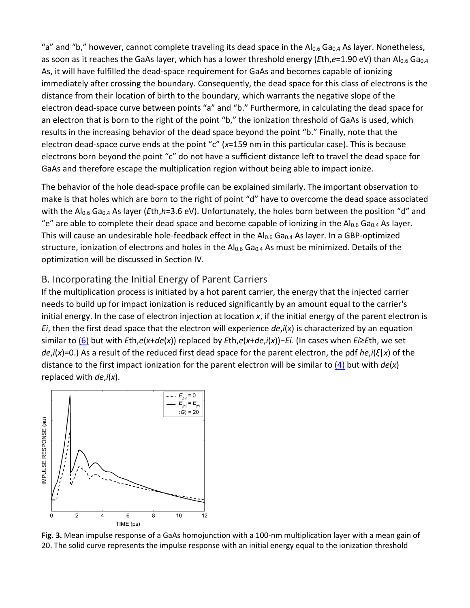"a" and "b," however, cannot complete traveling its dead space in the  $Al_{0.6}$  Ga<sub>0.4</sub> As layer. Nonetheless, as soon as it reaches the GaAs layer, which has a lower threshold energy (*Eth,e*=1.90 eV) than Al<sub>0.6</sub> Ga<sub>0.4</sub> As, it will have fulfilled the dead-space requirement for GaAs and becomes capable of ionizing immediately after crossing the boundary. Consequently, the dead space for this class of electrons is the distance from their location of birth to the boundary, which warrants the negative slope of the electron dead-space curve between points "a" and "b." Furthermore, in calculating the dead space for an electron that is born to the right of the point "b," the ionization threshold of GaAs is used, which results in the increasing behavior of the dead space beyond the point "b." Finally, note that the electron dead-space curve ends at the point "c" (*x*=159 nm in this particular case). This is because electrons born beyond the point "c" do not have a sufficient distance left to travel the dead space for GaAs and therefore escape the multiplication region without being able to impact ionize.

The behavior of the hole dead-space profile can be explained similarly. The important observation to make is that holes which are born to the right of point "d" have to overcome the dead space associated with the Al<sub>0.6</sub> Ga<sub>0.4</sub> As layer (*E*th,*h*=3.6 eV). Unfortunately, the holes born between the position "d" and "e" are able to complete their dead space and become capable of ionizing in the Al<sub>0.6</sub> Ga<sub>0.4</sub> As layer. This will cause an undesirable hole-feedback effect in the  $Al_{0.6}$  Ga<sub>0.4</sub> As layer. In a GBP-optimized structure, ionization of electrons and holes in the  $Al_{0.6}$  Ga<sub>0.4</sub> As must be minimized. Details of the optimization will be discussed in Section IV.

#### B. Incorporating the Initial Energy of Parent Carriers

If the multiplication process is initiated by a hot parent carrier, the energy that the injected carrier needs to build up for impact ionization is reduced significantly by an amount equal to the carrier's initial energy. In the case of electron injection at location *x*, if the initial energy of the parent electron is *Ei*, then the first dead space that the electron will experience *de*,*i*(*x*) is characterized by an equation similar to [\(6\)](https://ieeexplore.ieee.org/document/#deqn6) but with *E*th,*e*(*x*+*de*(*x*)) replaced by *E*th,*e*(*x*+*de*,*i*(*x*))−*Ei*. (In cases when *Ei*≥*E*th, we set *de*,*i*(*x*)=0.) As a result of the reduced first dead space for the parent electron, the pdf *he*,*i*(*ξ*|*x*) of the distance to the first impact ionization for the parent electron will be similar to [\(4\)](https://ieeexplore.ieee.org/document/#deqn4-5) but with *de*(*x*) replaced with *de*,*i*(*x*).



**Fig. 3.** Mean impulse response of a GaAs homojunction with a 100-nm multiplication layer with a mean gain of 20. The solid curve represents the impulse response with an initial energy equal to the ionization threshold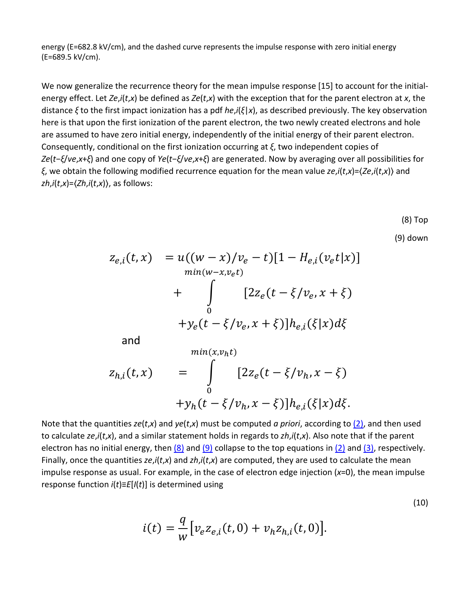energy (E=682.8 kV/cm), and the dashed curve represents the impulse response with zero initial energy (E=689.5 kV/cm).

We now generalize the recurrence theory for the mean impulse response [15] to account for the initialenergy effect. Let *Ze*,*i*(*t*,*x*) be defined as *Ze*(*t*,*x*) with the exception that for the parent electron at *x*, the distance *ξ* to the first impact ionization has a pdf *he*,*i*(*ξ*|*x*), as described previously. The key observation here is that upon the first ionization of the parent electron, the two newly created electrons and hole are assumed to have zero initial energy, independently of the initial energy of their parent electron. Consequently, conditional on the first ionization occurring at *ξ*, two independent copies of *Ze*(*t*−*ξ*/*ve*,*x*+*ξ*) and one copy of *Ye*(*t*−*ξ*/*ve*,*x*+*ξ*) are generated. Now by averaging over all possibilities for *ξ*, we obtain the following modified recurrence equation for the mean value *ze*,*i*(*t*,*x*)=⟨*Ze*,*i*(*t*,*x*)⟩ and *zh*,*i*(*t*,*x*)=⟨*Zh*,*i*(*t*,*x*)⟩, as follows:

(8) Top

(10)

(9) down

$$
z_{e,i}(t, x) = u((w - x)/v_e - t)[1 - H_{e,i}(v_e t | x)]
$$
  
\n
$$
+ \int_{0}^{min(w - x, v_e t)} [2z_e(t - \xi/v_e, x + \xi)]
$$
  
\n
$$
+ y_e(t - \xi/v_e, x + \xi)]h_{e,i}(\xi | x) d\xi
$$

and

$$
z_{h,i}(t,x) = \int_{0}^{min(x, v_h t)} [2z_e(t - \xi/v_h, x - \xi) + y_h(t - \xi/v_h, x - \xi)]h_{e,i}(\xi|x)d\xi.
$$

Note that the quantities *ze*(*t*,*x*) and *ye*(*t*,*x*) must be computed *a priori*, according to [\(2\),](https://ieeexplore.ieee.org/document/#deqn2) and then used to calculate *ze*,*i*(*t*,*x*), and a similar statement holds in regards to *zh*,*i*(*t*,*x*). Also note that if the parent electron has no initial energy, then  $(8)$  and  $(9)$  collapse to the top equations in  $(2)$  and  $(3)$ , respectively. Finally, once the quantities *ze*,*i*(*t*,*x*) and *zh*,*i*(*t*,*x*) are computed, they are used to calculate the mean impulse response as usual. For example, in the case of electron edge injection (*x*=0), the mean impulse response function *i*(*t*)≡*E*[*I*(*t*)] is determined using

$$
i(t) = \frac{q}{w} [v_e z_{e,i}(t, 0) + v_h z_{h,i}(t, 0)].
$$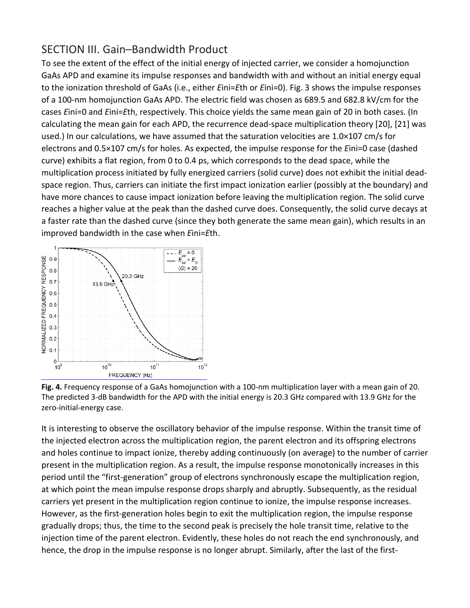## SECTION III. Gain–Bandwidth Product

To see the extent of the effect of the initial energy of injected carrier, we consider a homojunction GaAs APD and examine its impulse responses and bandwidth with and without an initial energy equal to the ionization threshold of GaAs (i.e., either *E*ini=*E*th or *E*ini=0). Fig. 3 shows the impulse responses of a 100-nm homojunction GaAs APD. The electric field was chosen as 689.5 and 682.8 kV/cm for the cases *E*ini=0 and *E*ini=*E*th, respectively. This choice yields the same mean gain of 20 in both cases. (In calculating the mean gain for each APD, the recurrence dead-space multiplication theory [20], [21] was used.) In our calculations, we have assumed that the saturation velocities are 1.0×107 cm/s for electrons and 0.5×107 cm/s for holes. As expected, the impulse response for the *E*ini=0 case (dashed curve) exhibits a flat region, from 0 to 0.4 ps, which corresponds to the dead space, while the multiplication process initiated by fully energized carriers (solid curve) does not exhibit the initial deadspace region. Thus, carriers can initiate the first impact ionization earlier (possibly at the boundary) and have more chances to cause impact ionization before leaving the multiplication region. The solid curve reaches a higher value at the peak than the dashed curve does. Consequently, the solid curve decays at a faster rate than the dashed curve (since they both generate the same mean gain), which results in an improved bandwidth in the case when *E*ini=*E*th.





It is interesting to observe the oscillatory behavior of the impulse response. Within the transit time of the injected electron across the multiplication region, the parent electron and its offspring electrons and holes continue to impact ionize, thereby adding continuously (on average) to the number of carrier present in the multiplication region. As a result, the impulse response monotonically increases in this period until the "first-generation" group of electrons synchronously escape the multiplication region, at which point the mean impulse response drops sharply and abruptly. Subsequently, as the residual carriers yet present in the multiplication region continue to ionize, the impulse response increases. However, as the first-generation holes begin to exit the multiplication region, the impulse response gradually drops; thus, the time to the second peak is precisely the hole transit time, relative to the injection time of the parent electron. Evidently, these holes do not reach the end synchronously, and hence, the drop in the impulse response is no longer abrupt. Similarly, after the last of the first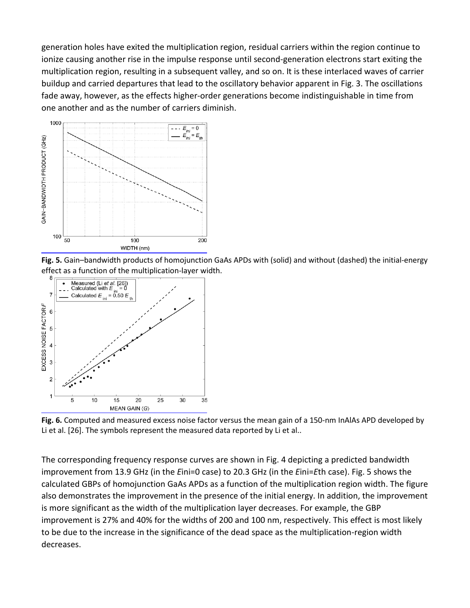generation holes have exited the multiplication region, residual carriers within the region continue to ionize causing another rise in the impulse response until second-generation electrons start exiting the multiplication region, resulting in a subsequent valley, and so on. It is these interlaced waves of carrier buildup and carried departures that lead to the oscillatory behavior apparent in Fig. 3. The oscillations fade away, however, as the effects higher-order generations become indistinguishable in time from one another and as the number of carriers diminish.



**Fig. 5.** Gain–bandwidth products of homojunction GaAs APDs with (solid) and without (dashed) the initial-energy effect as a function of the multiplication-layer width.



**Fig. 6.** Computed and measured excess noise factor versus the mean gain of a 150-nm InAlAs APD developed by Li et al. [26]. The symbols represent the measured data reported by Li et al..

The corresponding frequency response curves are shown in Fig. 4 depicting a predicted bandwidth improvement from 13.9 GHz (in the *E*ini=0 case) to 20.3 GHz (in the *E*ini=*E*th case). Fig. 5 shows the calculated GBPs of homojunction GaAs APDs as a function of the multiplication region width. The figure also demonstrates the improvement in the presence of the initial energy. In addition, the improvement is more significant as the width of the multiplication layer decreases. For example, the GBP improvement is 27% and 40% for the widths of 200 and 100 nm, respectively. This effect is most likely to be due to the increase in the significance of the dead space as the multiplication-region width decreases.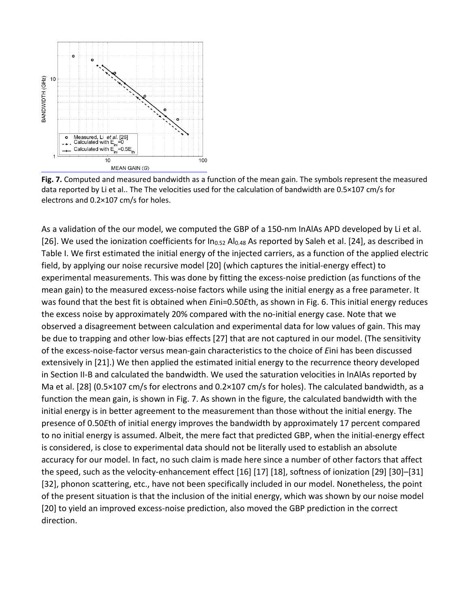

**Fig. 7.** Computed and measured bandwidth as a function of the mean gain. The symbols represent the measured data reported by Li et al.. The The velocities used for the calculation of bandwidth are 0.5×107 cm/s for electrons and 0.2×107 cm/s for holes.

As a validation of the our model, we computed the GBP of a 150-nm InAlAs APD developed by Li et al. [26]. We used the ionization coefficients for  $In_{0.52}$  Al<sub>0.48</sub> As reported by Saleh et al. [24], as described in Table I. We first estimated the initial energy of the injected carriers, as a function of the applied electric field, by applying our noise recursive model [20] (which captures the initial-energy effect) to experimental measurements. This was done by fitting the excess-noise prediction (as functions of the mean gain) to the measured excess-noise factors while using the initial energy as a free parameter. It was found that the best fit is obtained when *E*ini=0.50*E*th, as shown in Fig. 6. This initial energy reduces the excess noise by approximately 20% compared with the no-initial energy case. Note that we observed a disagreement between calculation and experimental data for low values of gain. This may be due to trapping and other low-bias effects [27] that are not captured in our model. (The sensitivity of the excess-noise-factor versus mean-gain characteristics to the choice of *E*ini has been discussed extensively in [21].) We then applied the estimated initial energy to the recurrence theory developed in Section II-B and calculated the bandwidth. We used the saturation velocities in InAlAs reported by Ma et al. [28] (0.5×107 cm/s for electrons and 0.2×107 cm/s for holes). The calculated bandwidth, as a function the mean gain, is shown in Fig. 7. As shown in the figure, the calculated bandwidth with the initial energy is in better agreement to the measurement than those without the initial energy. The presence of 0.50*E*th of initial energy improves the bandwidth by approximately 17 percent compared to no initial energy is assumed. Albeit, the mere fact that predicted GBP, when the initial-energy effect is considered, is close to experimental data should not be literally used to establish an absolute accuracy for our model. In fact, no such claim is made here since a number of other factors that affect the speed, such as the velocity-enhancement effect [16] [17] [18], softness of ionization [29] [30]–[31] [32], phonon scattering, etc., have not been specifically included in our model. Nonetheless, the point of the present situation is that the inclusion of the initial energy, which was shown by our noise model [20] to yield an improved excess-noise prediction, also moved the GBP prediction in the correct direction.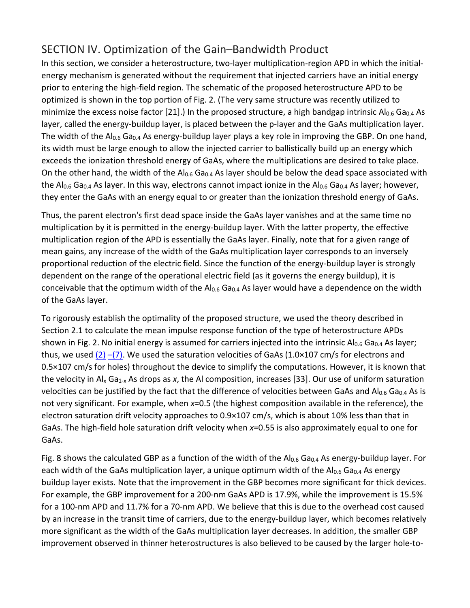## SECTION IV. Optimization of the Gain–Bandwidth Product

In this section, we consider a heterostructure, two-layer multiplication-region APD in which the initialenergy mechanism is generated without the requirement that injected carriers have an initial energy prior to entering the high-field region. The schematic of the proposed heterostructure APD to be optimized is shown in the top portion of Fig. 2. (The very same structure was recently utilized to minimize the excess noise factor [21].) In the proposed structure, a high bandgap intrinsic Al<sub>0.6</sub> Ga<sub>0.4</sub> As layer, called the energy-buildup layer, is placed between the p-layer and the GaAs multiplication layer. The width of the Al<sub>0.6</sub> Ga<sub>0.4</sub> As energy-buildup layer plays a key role in improving the GBP. On one hand, its width must be large enough to allow the injected carrier to ballistically build up an energy which exceeds the ionization threshold energy of GaAs, where the multiplications are desired to take place. On the other hand, the width of the Al<sub>0.6</sub> Ga<sub>0.4</sub> As layer should be below the dead space associated with the Al<sub>0.6</sub> Ga<sub>0.4</sub> As layer. In this way, electrons cannot impact ionize in the Al<sub>0.6</sub> Ga<sub>0.4</sub> As layer; however, they enter the GaAs with an energy equal to or greater than the ionization threshold energy of GaAs.

Thus, the parent electron's first dead space inside the GaAs layer vanishes and at the same time no multiplication by it is permitted in the energy-buildup layer. With the latter property, the effective multiplication region of the APD is essentially the GaAs layer. Finally, note that for a given range of mean gains, any increase of the width of the GaAs multiplication layer corresponds to an inversely proportional reduction of the electric field. Since the function of the energy-buildup layer is strongly dependent on the range of the operational electric field (as it governs the energy buildup), it is conceivable that the optimum width of the Al<sub>0.6</sub> Ga<sub>0.4</sub> As layer would have a dependence on the width of the GaAs layer.

To rigorously establish the optimality of the proposed structure, we used the theory described in Section 2.1 to calculate the mean impulse response function of the type of heterostructure APDs shown in Fig. 2. No initial energy is assumed for carriers injected into the intrinsic  $Al_{0.6}$  Ga<sub>0.4</sub> As layer; thus, we used  $(2)$  [–](https://ieeexplore.ieee.org/document/#deqn6)[\(7\).](https://ieeexplore.ieee.org/document/#deqn7) We used the saturation velocities of GaAs (1.0×107 cm/s for electrons and 0.5×107 cm/s for holes) throughout the device to simplify the computations. However, it is known that the velocity in Al<sub>x</sub> Ga<sub>1-x</sub> As drops as x, the Al composition, increases [33]. Our use of uniform saturation velocities can be justified by the fact that the difference of velocities between GaAs and Al<sub>0.6</sub> Ga<sub>0.4</sub> As is not very significant. For example, when *x*=0.5 (the highest composition available in the reference), the electron saturation drift velocity approaches to 0.9×107 cm/s, which is about 10% less than that in GaAs. The high-field hole saturation drift velocity when *x*=0.55 is also approximately equal to one for GaAs.

Fig. 8 shows the calculated GBP as a function of the width of the  $Al_{0.6}$  Ga<sub>0.4</sub> As energy-buildup layer. For each width of the GaAs multiplication layer, a unique optimum width of the  $Al_{0.6}$  Ga<sub>0.4</sub> As energy buildup layer exists. Note that the improvement in the GBP becomes more significant for thick devices. For example, the GBP improvement for a 200-nm GaAs APD is 17.9%, while the improvement is 15.5% for a 100-nm APD and 11.7% for a 70-nm APD. We believe that this is due to the overhead cost caused by an increase in the transit time of carriers, due to the energy-buildup layer, which becomes relatively more significant as the width of the GaAs multiplication layer decreases. In addition, the smaller GBP improvement observed in thinner heterostructures is also believed to be caused by the larger hole-to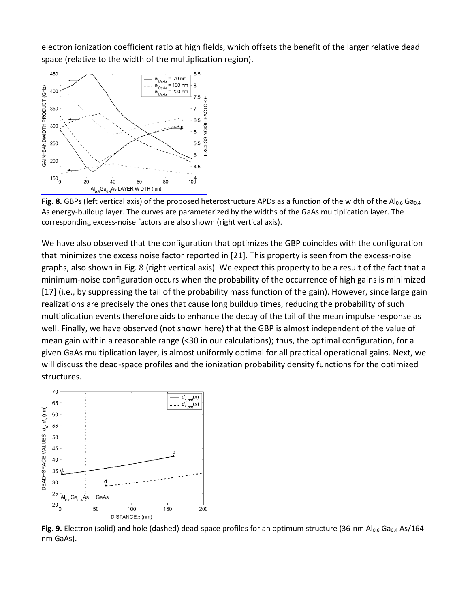electron ionization coefficient ratio at high fields, which offsets the benefit of the larger relative dead space (relative to the width of the multiplication region).



**Fig. 8.** GBPs (left vertical axis) of the proposed heterostructure APDs as a function of the width of the Al<sub>0.6</sub> Ga<sub>0.4</sub> As energy-buildup layer. The curves are parameterized by the widths of the GaAs multiplication layer. The corresponding excess-noise factors are also shown (right vertical axis).

We have also observed that the configuration that optimizes the GBP coincides with the configuration that minimizes the excess noise factor reported in [21]. This property is seen from the excess-noise graphs, also shown in Fig. 8 (right vertical axis). We expect this property to be a result of the fact that a minimum-noise configuration occurs when the probability of the occurrence of high gains is minimized [17] (i.e., by suppressing the tail of the probability mass function of the gain). However, since large gain realizations are precisely the ones that cause long buildup times, reducing the probability of such multiplication events therefore aids to enhance the decay of the tail of the mean impulse response as well. Finally, we have observed (not shown here) that the GBP is almost independent of the value of mean gain within a reasonable range (<30 in our calculations); thus, the optimal configuration, for a given GaAs multiplication layer, is almost uniformly optimal for all practical operational gains. Next, we will discuss the dead-space profiles and the ionization probability density functions for the optimized structures.



Fig. 9. Electron (solid) and hole (dashed) dead-space profiles for an optimum structure (36-nm Al<sub>0.6</sub> Ga<sub>0.4</sub> As/164nm GaAs).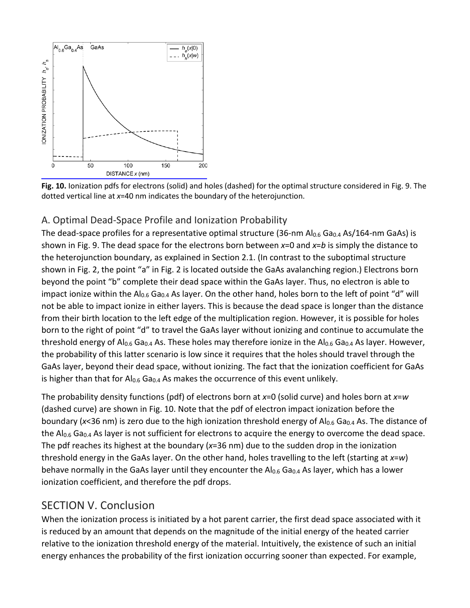



#### A. Optimal Dead-Space Profile and Ionization Probability

The dead-space profiles for a representative optimal structure (36-nm  $Al_{0.6}$  Ga<sub>0.4</sub> As/164-nm GaAs) is shown in Fig. 9. The dead space for the electrons born between *x*=0 and *x*=*b* is simply the distance to the heterojunction boundary, as explained in Section 2.1. (In contrast to the suboptimal structure shown in Fig. 2, the point "a" in Fig. 2 is located outside the GaAs avalanching region.) Electrons born beyond the point "b" complete their dead space within the GaAs layer. Thus, no electron is able to impact ionize within the Al<sub>0.6</sub> Ga<sub>0.4</sub> As layer. On the other hand, holes born to the left of point "d" will not be able to impact ionize in either layers. This is because the dead space is longer than the distance from their birth location to the left edge of the multiplication region. However, it is possible for holes born to the right of point "d" to travel the GaAs layer without ionizing and continue to accumulate the threshold energy of  $Al_{0.6}$  Ga<sub>0.4</sub> As. These holes may therefore ionize in the  $Al_{0.6}$  Ga<sub>0.4</sub> As layer. However, the probability of this latter scenario is low since it requires that the holes should travel through the GaAs layer, beyond their dead space, without ionizing. The fact that the ionization coefficient for GaAs is higher than that for  $Al_{0.6}$  Ga<sub>0.4</sub> As makes the occurrence of this event unlikely.

The probability density functions (pdf) of electrons born at *x*=0 (solid curve) and holes born at *x*=*w* (dashed curve) are shown in Fig. 10. Note that the pdf of electron impact ionization before the boundary (x<36 nm) is zero due to the high ionization threshold energy of Al<sub>0.6</sub> Ga<sub>0.4</sub> As. The distance of the  $Al_{0.6}$  Ga<sub>0.4</sub> As layer is not sufficient for electrons to acquire the energy to overcome the dead space. The pdf reaches its highest at the boundary (*x*=36 nm) due to the sudden drop in the ionization threshold energy in the GaAs layer. On the other hand, holes travelling to the left (starting at *x*=*w*) behave normally in the GaAs layer until they encounter the  $Al_{0.6}$  Ga<sub>0.4</sub> As layer, which has a lower ionization coefficient, and therefore the pdf drops.

### SECTION V. Conclusion

When the ionization process is initiated by a hot parent carrier, the first dead space associated with it is reduced by an amount that depends on the magnitude of the initial energy of the heated carrier relative to the ionization threshold energy of the material. Intuitively, the existence of such an initial energy enhances the probability of the first ionization occurring sooner than expected. For example,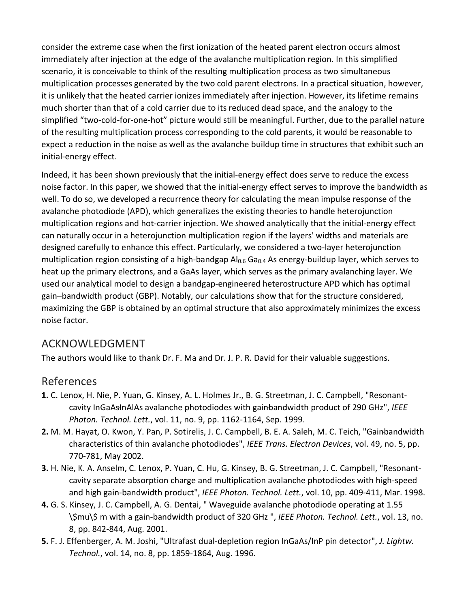consider the extreme case when the first ionization of the heated parent electron occurs almost immediately after injection at the edge of the avalanche multiplication region. In this simplified scenario, it is conceivable to think of the resulting multiplication process as two simultaneous multiplication processes generated by the two cold parent electrons. In a practical situation, however, it is unlikely that the heated carrier ionizes immediately after injection. However, its lifetime remains much shorter than that of a cold carrier due to its reduced dead space, and the analogy to the simplified "two-cold-for-one-hot" picture would still be meaningful. Further, due to the parallel nature of the resulting multiplication process corresponding to the cold parents, it would be reasonable to expect a reduction in the noise as well as the avalanche buildup time in structures that exhibit such an initial-energy effect.

Indeed, it has been shown previously that the initial-energy effect does serve to reduce the excess noise factor. In this paper, we showed that the initial-energy effect serves to improve the bandwidth as well. To do so, we developed a recurrence theory for calculating the mean impulse response of the avalanche photodiode (APD), which generalizes the existing theories to handle heterojunction multiplication regions and hot-carrier injection. We showed analytically that the initial-energy effect can naturally occur in a heterojunction multiplication region if the layers' widths and materials are designed carefully to enhance this effect. Particularly, we considered a two-layer heterojunction multiplication region consisting of a high-bandgap  $Al_{0.6}$  Ga<sub>0.4</sub> As energy-buildup layer, which serves to heat up the primary electrons, and a GaAs layer, which serves as the primary avalanching layer. We used our analytical model to design a bandgap-engineered heterostructure APD which has optimal gain–bandwidth product (GBP). Notably, our calculations show that for the structure considered, maximizing the GBP is obtained by an optimal structure that also approximately minimizes the excess noise factor.

### ACKNOWLEDGMENT

The authors would like to thank Dr. F. Ma and Dr. J. P. R. David for their valuable suggestions.

#### References

- **1.** C. Lenox, H. Nie, P. Yuan, G. Kinsey, A. L. Holmes Jr., B. G. Streetman, J. C. Campbell, "Resonantcavity InGaAsInAlAs avalanche photodiodes with gainbandwidth product of 290 GHz", IEEE *Photon. Technol. Lett.*, vol. 11, no. 9, pp. 1162-1164, Sep. 1999.
- **2.** M. M. Hayat, O. Kwon, Y. Pan, P. Sotirelis, J. C. Campbell, B. E. A. Saleh, M. C. Teich, "Gainbandwidth characteristics of thin avalanche photodiodes", *IEEE Trans. Electron Devices*, vol. 49, no. 5, pp. 770-781, May 2002.
- **3.** H. Nie, K. A. Anselm, C. Lenox, P. Yuan, C. Hu, G. Kinsey, B. G. Streetman, J. C. Campbell, "Resonantcavity separate absorption charge and multiplication avalanche photodiodes with high-speed and high gain-bandwidth product", *IEEE Photon. Technol. Lett.*, vol. 10, pp. 409-411, Mar. 1998.
- **4.** G. S. Kinsey, J. C. Campbell, A. G. Dentai, " Waveguide avalanche photodiode operating at 1.55 \\$mu\\$ m with a gain-bandwidth product of 320 GHz ", *IEEE Photon. Technol. Lett.*, vol. 13, no. 8, pp. 842-844, Aug. 2001.
- **5.** F. J. Effenberger, A. M. Joshi, "Ultrafast dual-depletion region InGaAs/InP pin detector", *J. Lightw. Technol.*, vol. 14, no. 8, pp. 1859-1864, Aug. 1996.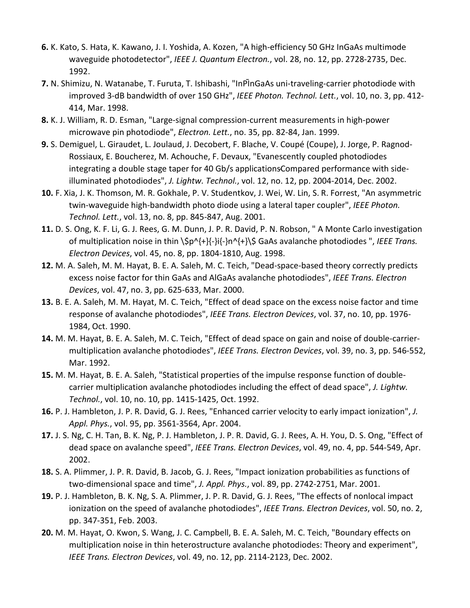- **6.** K. Kato, S. Hata, K. Kawano, J. I. Yoshida, A. Kozen, "A high-efficiency 50 GHz InGaAs multimode waveguide photodetector", *IEEE J. Quantum Electron.*, vol. 28, no. 12, pp. 2728-2735, Dec. 1992.
- **7.** N. Shimizu, N. Watanabe, T. Furuta, T. Ishibashi, "InPInGaAs uni-traveling-carrier photodiode with improved 3-dB bandwidth of over 150 GHz", *IEEE Photon. Technol. Lett.*, vol. 10, no. 3, pp. 412- 414, Mar. 1998.
- **8.** K. J. William, R. D. Esman, "Large-signal compression-current measurements in high-power microwave pin photodiode", *Electron. Lett.*, no. 35, pp. 82-84, Jan. 1999.
- **9.** S. Demiguel, L. Giraudet, L. Joulaud, J. Decobert, F. Blache, V. Coupé (Coupe), J. Jorge, P. Ragnod-Rossiaux, E. Boucherez, M. Achouche, F. Devaux, "Evanescently coupled photodiodes integrating a double stage taper for 40 Gb/s applicationsCompared performance with sideilluminated photodiodes", *J. Lightw. Technol.*, vol. 12, no. 12, pp. 2004-2014, Dec. 2002.
- **10.** F. Xia, J. K. Thomson, M. R. Gokhale, P. V. Studentkov, J. Wei, W. Lin, S. R. Forrest, "An asymmetric twin-waveguide high-bandwidth photo diode using a lateral taper coupler", *IEEE Photon. Technol. Lett.*, vol. 13, no. 8, pp. 845-847, Aug. 2001.
- **11.** D. S. Ong, K. F. Li, G. J. Rees, G. M. Dunn, J. P. R. David, P. N. Robson, " A Monte Carlo investigation of multiplication noise in thin \\$p^{+}{-}i{-}n^{+}\\$ GaAs avalanche photodiodes ", *IEEE Trans. Electron Devices*, vol. 45, no. 8, pp. 1804-1810, Aug. 1998.
- **12.** M. A. Saleh, M. M. Hayat, B. E. A. Saleh, M. C. Teich, "Dead-space-based theory correctly predicts excess noise factor for thin GaAs and AlGaAs avalanche photodiodes", *IEEE Trans. Electron Devices*, vol. 47, no. 3, pp. 625-633, Mar. 2000.
- **13.** B. E. A. Saleh, M. M. Hayat, M. C. Teich, "Effect of dead space on the excess noise factor and time response of avalanche photodiodes", *IEEE Trans. Electron Devices*, vol. 37, no. 10, pp. 1976- 1984, Oct. 1990.
- **14.** M. M. Hayat, B. E. A. Saleh, M. C. Teich, "Effect of dead space on gain and noise of double-carriermultiplication avalanche photodiodes", *IEEE Trans. Electron Devices*, vol. 39, no. 3, pp. 546-552, Mar. 1992.
- **15.** M. M. Hayat, B. E. A. Saleh, "Statistical properties of the impulse response function of doublecarrier multiplication avalanche photodiodes including the effect of dead space", *J. Lightw. Technol.*, vol. 10, no. 10, pp. 1415-1425, Oct. 1992.
- **16.** P. J. Hambleton, J. P. R. David, G. J. Rees, "Enhanced carrier velocity to early impact ionization", *J. Appl. Phys.*, vol. 95, pp. 3561-3564, Apr. 2004.
- **17.** J. S. Ng, C. H. Tan, B. K. Ng, P. J. Hambleton, J. P. R. David, G. J. Rees, A. H. You, D. S. Ong, "Effect of dead space on avalanche speed", *IEEE Trans. Electron Devices*, vol. 49, no. 4, pp. 544-549, Apr. 2002.
- **18.** S. A. Plimmer, J. P. R. David, B. Jacob, G. J. Rees, "Impact ionization probabilities as functions of two-dimensional space and time", *J. Appl. Phys.*, vol. 89, pp. 2742-2751, Mar. 2001.
- **19.** P. J. Hambleton, B. K. Ng, S. A. Plimmer, J. P. R. David, G. J. Rees, "The effects of nonlocal impact ionization on the speed of avalanche photodiodes", *IEEE Trans. Electron Devices*, vol. 50, no. 2, pp. 347-351, Feb. 2003.
- **20.** M. M. Hayat, O. Kwon, S. Wang, J. C. Campbell, B. E. A. Saleh, M. C. Teich, "Boundary effects on multiplication noise in thin heterostructure avalanche photodiodes: Theory and experiment", *IEEE Trans. Electron Devices*, vol. 49, no. 12, pp. 2114-2123, Dec. 2002.